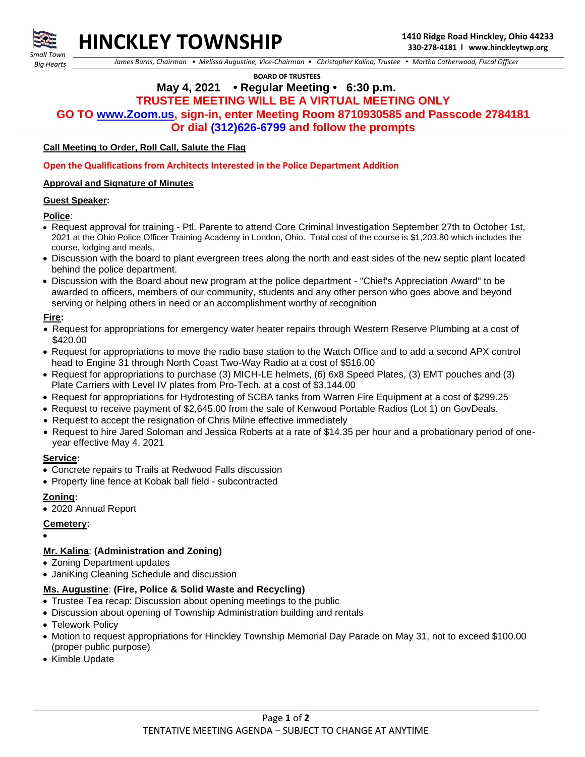

*Small Town Big Hearts*

 *James Burns, Chairman • Melissa Augustine, Vice-Chairman • Christopher Kalina, Trustee • Martha Catherwood, Fiscal Officer*

 **BOARD OF TRUSTEES**

# **May 4, 2021 • Regular Meeting • 6:30 p.m. TRUSTEE MEETING WILL BE A VIRTUAL MEETING ONLY**

**GO TO [www.Zoom.us,](http://www.zoom.us/) sign-in, enter Meeting Room 8710930585 and Passcode 2784181**

**Or dial (312)626-6799 and follow the prompts**

## **Call Meeting to Order, Roll Call, Salute the Flag**

### **Open the Qualifications from Architects Interested in the Police Department Addition**

### **Approval and Signature of Minutes**

### **Guest Speaker:**

### **Police**:

- Request approval for training Ptl. Parente to attend Core Criminal Investigation September 27th to October 1st, 2021 at the Ohio Police Officer Training Academy in London, Ohio. Total cost of the course is \$1,203.80 which includes the course, lodging and meals,
- Discussion with the board to plant evergreen trees along the north and east sides of the new septic plant located behind the police department.
- Discussion with the Board about new program at the police department "Chief's Appreciation Award" to be awarded to officers, members of our community, students and any other person who goes above and beyond serving or helping others in need or an accomplishment worthy of recognition

### **Fire:**

- Request for appropriations for emergency water heater repairs through Western Reserve Plumbing at a cost of \$420.00
- Request for appropriations to move the radio base station to the Watch Office and to add a second APX control head to Engine 31 through North Coast Two-Way Radio at a cost of \$516.00
- Request for appropriations to purchase (3) MICH-LE helmets, (6) 6x8 Speed Plates, (3) EMT pouches and (3) Plate Carriers with Level IV plates from Pro-Tech. at a cost of \$3,144.00
- Request for appropriations for Hydrotesting of SCBA tanks from Warren Fire Equipment at a cost of \$299.25
- Request to receive payment of \$2,645.00 from the sale of Kenwood Portable Radios (Lot 1) on GovDeals.
- Request to accept the resignation of Chris Milne effective immediately
- Request to hire Jared Soloman and Jessica Roberts at a rate of \$14.35 per hour and a probationary period of oneyear effective May 4, 2021

## **Service:**

- Concrete repairs to Trails at Redwood Falls discussion
- Property line fence at Kobak ball field subcontracted

# **Zoning:**

• 2020 Annual Report

## **Cemetery:**

- •
- **Mr. Kalina**: **(Administration and Zoning)**
- Zoning Department updates
- JaniKing Cleaning Schedule and discussion

# **Ms. Augustine**: **(Fire, Police & Solid Waste and Recycling)**

- Trustee Tea recap: Discussion about opening meetings to the public
- Discussion about opening of Township Administration building and rentals
- Telework Policy
- Motion to request appropriations for Hinckley Township Memorial Day Parade on May 31, not to exceed \$100.00 (proper public purpose)
- Kimble Update